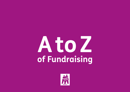### **AtoZ of Fundraising**

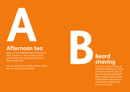

Why not host afternoon tea? Whether at work, home or a venue of your choice, we're a nation of tea drinkers and who doesn't like cake?

You can also have a healthy debate about jam or cream first on scones!



### **shaving**

Is it time to rid your face of that fluff? Would your family and friends like the idea of you shaving your beard off? Why not dye it pink, orange or blue before the shave to promote your efforts and raise extra funds?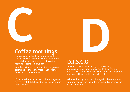

#### **Coffee mornings**

Can you cope without your morning coffee? Lots of people rely on their coffee to get them through the day, so why not host a coffee morning to raise some funds?

Whether in the workplace or at home, you can partner up to make the most of your friends, family and acquaintances.

If you're a champion barista or bake like you're on the Great British Bake Off, you'll definitely be onto a winner!

## **D.I.S.C.O D**

You don't have to be a Strictly Come Dancing professional to get your groove on. Host a disco or a dance - with a little bit of space and some cracking tunes, everyone will soon get in the swing of it.

Whether hosting at home or hiring a local venue, we're sure you can get the support to raise funds and have fun at the same time.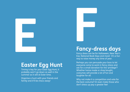## **E Easter Egg Hunt**

Timing is key for your Eater Egg Hunt, it probably won't go down as well in the summer as it will at Ester time.

Organise a hunt with your friends and family and it'll be chocs away!

# **Fancy-draw**

#### **Fancy-dress days**

Fancy dress can be for Halloween, New Year's Eve, National Book Days and more! It's a fun way to raise money any time of year.

Perhaps you can persuade your boss to let everyone come to work in fancy-dress and ask for a small donation for the 'privilege'? Whether home made or shop bought, costumes will provide a lot of fun and laughter for all.

Why not make it a competition and vote for the best costume? Or even make those who don't dress up pay a greater fee!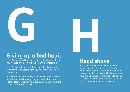

#### **Giving up a bad habit**

If you've got a bad habit, or even a not so bad habit, that you want to give up, why not do it while fundraising?

If you're going to save a lot of money by giving it up, then why not donate the money you've saved to People First Dorset?

Ask your friends and family to sponsor your to give you extra impetus. Whether giving up crisps, chocolate, Netflix, alcohol or smoking we're sure you can make and impact for this good cause.



#### **Head shave**

Bald is beautiful! Be brace and face the shave. Shaving your head is a bold move, so make sure you get the most out of it by making it a bit of an event. Maybe you could have a bidding war for the chance to be the shaver? Or like the beard shaving, dye your hair a crazy colour before the big day.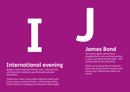# **I International evening**

Bonjour, Guten Tag, Kon'nichiwa, Ciao... why not host a dinner party inspired by your favourite overseas destination.

Theme your menu, have a dress code and match your tunes to your country of choice - all the while asking friends, family or colleagues to donate for their supper.

### **Jam James Bond**

The name's Bond, James Bond, Imagine the fun you can have putting on your own Bond themed night - and raising funds at the same time.

Watch some classic Bond movies (or some new ones), dress to impress and ensure your martinis are shaken not stirred.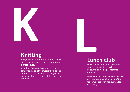

#### **Knitting**

Everyone knows a knitting nutter, so why not use your needles and raise money for a great cause?

Whether it's carefully crafted cardigans, stripey socks or jolly jumpers think about how you can sell your items - maybe on online auction sites, local stalls or even a car boot.

### **Lunder Lunch club**

Ladies or lads that lunch, everyone wants a change from a cheese sandwich and a bag of monster munch!

Maybe organise for everyone to cook or bring something into your office for some Friday fun (for a small fee of course).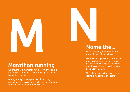

#### **Marathon running**

Fundraising is a marathon not a sprint. If you have the fitness to run 26.2 miles, then why not run for People First Dorset?

Raising money to help people with learning disabilities feel less isolated will keep you motivated and keep you racing for the finish line.



#### **Name the…**

Name the baby, name the teddy, name the pet of your choice.

Whatever it is you choose, name your price by changing a fee per entry (saving a percentage for the winner and the remainder to be donated to People First Dorset).

This will appeal to those who have a creative yet competitive spirit!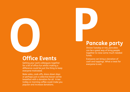

#### **Office Events**

Getting your work colleagues together for a bit of office fun whilst making a difference could be just the thing to keep everyone motivated.

Bake sales, cook-offs, dress-down days or perhaps just a collective bacon sarnie breakfast with a donation for all. A tea trolley or morning coffee could make you popular and increase donations.

# **Pancake party**<br>
Shrove Tuesday or not, pancakes<br>
can be a great way of bring people

Shrove Tuesday or not, pancakes can be a great way of bring people together to raise some much needed funds.

Everyone can bring a donation of cash and toppings. What a treat for everyone to eat.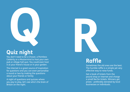

You don't need to be a Chaser, a Pointless Celebrity or a Mastermind to host your own pub or village hall quiz. You could even host it at your friend's house or in your garden.

The internet is a great source of inspiration for questions and you can even personalise a round or two by making the questions about your friends or family

A night of questions and quizzes where you pay to play, let's see who's the brain of Britain on the night.



#### **Raffle**

Sometimes the old ones are the best. The humble raffle is a simple yet very effective way to raise funds.

Get a book of tickets from the pound shop or internet and charge a small fee for tickets. Winners get prizes - preferably donated by local businesses or individuals.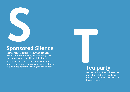

Silence really is golden. If you're surrounded by chatterboxes, then maybe fundraising via a sponsored silence could be just the thing.

Remember the silence only starts when the fundraising is done, speak up and shout out about raising funds before the event (and even after)!

### **Tea Tea party**

We're a nation of tea drinkers. Let's make the most of this addiction and raise a pound or two with our favourite brew.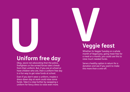### **Uniform f Uniform free day**

Okay, we;re not advocating that the police, firefighters or the armed forces take a break from their uniform. But, if you are at school or have children who are, then a uniform free day is a fun way to get raise funds at school.

Even if you don't wear a uniform, maybe a dress-down day at work could raise some funds. Take it a step further by swapping a uniform for fancy dress to raise even more.

### **Veggie Veggie feast**

Whether its Veggie Tuesday or a whole month of Veganuary, going meat free for a meal or a month, you could use this to raise much needed funds.

Serve a healthy option in return for a donation and see if you want to make this more than a one-off.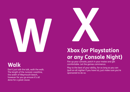

#### **Walk**

Don't just talk the talk, walk the walk. The length of the Jurassic coastline, the width of Weymouth beach, however far you go ensure it's all done for a great cause.



Fire up your console, patch in your mates and get comfortable. Let the games commence.

Play to the best of your ability, for as long as you can (pull an all nighter if you have to), just make sure you're sponsored to do so.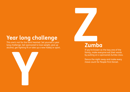### **Year long challenge**

This one's not for the faint hearted. Set yourself a year long challenge. Get sponsored to lose weight, give up alcohol, get fighting fit or take up a new hobby or sport.





If you're known as the lazy one of the family, make everyone eat their words by putting on a sponsored Zumba class.

Dance the night away and make every move count for People First Dorset.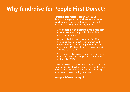#### **Why fundraise for People First Dorset?**

Fundraising for People First Dorset helps us to develop our projects and reach even more people with learning disabilities. The need for our work is acute and growing. In the UK right now:

- 38% of people with a learning disability die from avoidable causes, compared with 9% of the general population
- Only 6% of adults with a learning disability (known to their local authority) were in paid employment in England compared to 76% of people aged 16 - 64 in the general population in 2017/19 (ONS, 2019).
- Severe mental illness is 8.4 times more prevalent in patients with a learning disability than those without (2017/18).

We want to see a society where every person with a learning disability has the support they need to have the best possible outcomes in life, be it friendships, good health or contributing to society.

**www.peoplefirstdorset.org.uk**